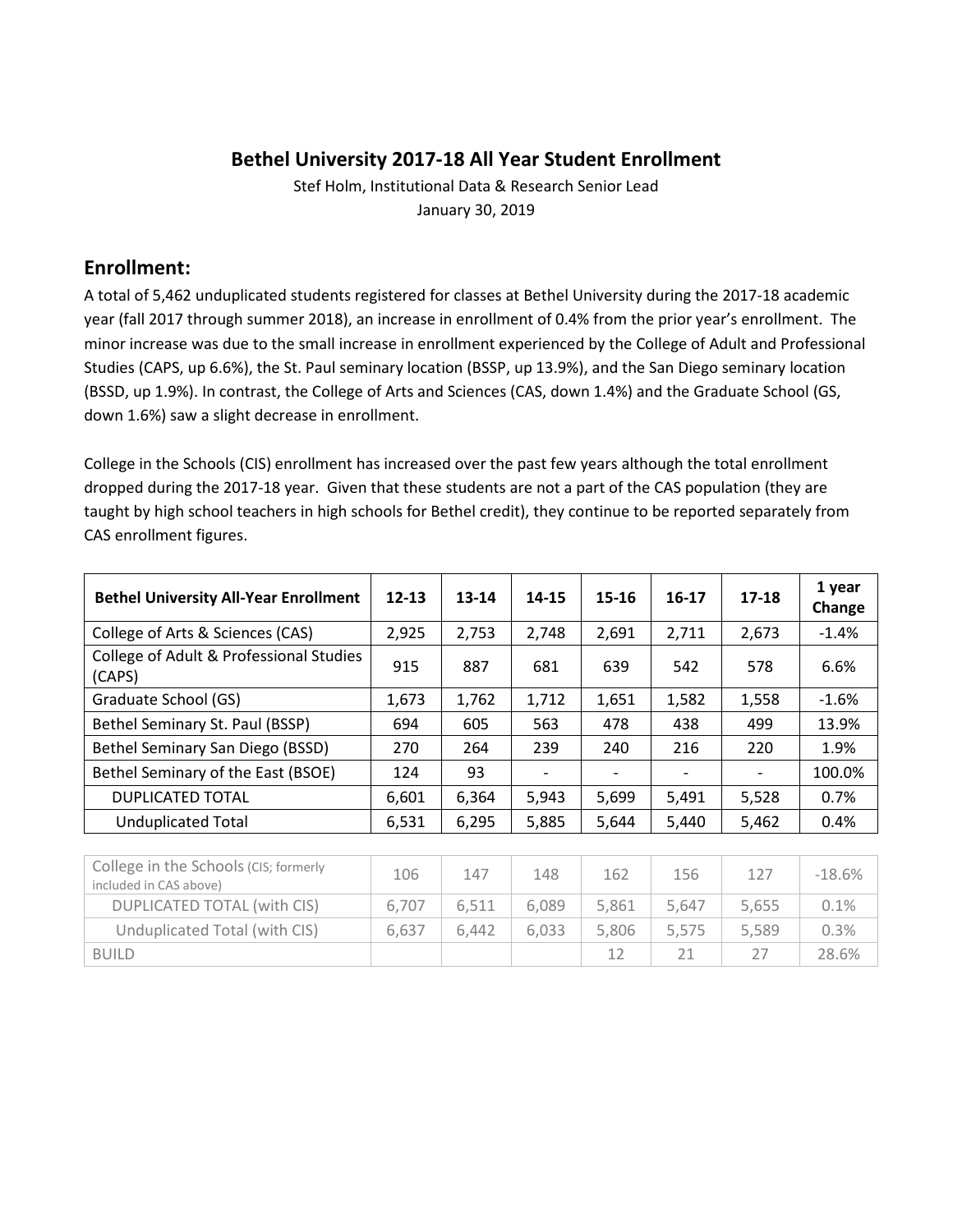## **Bethel University 2017-18 All Year Student Enrollment**

Stef Holm, Institutional Data & Research Senior Lead January 30, 2019

## **Enrollment:**

A total of 5,462 unduplicated students registered for classes at Bethel University during the 2017-18 academic year (fall 2017 through summer 2018), an increase in enrollment of 0.4% from the prior year's enrollment. The minor increase was due to the small increase in enrollment experienced by the College of Adult and Professional Studies (CAPS, up 6.6%), the St. Paul seminary location (BSSP, up 13.9%), and the San Diego seminary location (BSSD, up 1.9%). In contrast, the College of Arts and Sciences (CAS, down 1.4%) and the Graduate School (GS, down 1.6%) saw a slight decrease in enrollment.

College in the Schools (CIS) enrollment has increased over the past few years although the total enrollment dropped during the 2017-18 year. Given that these students are not a part of the CAS population (they are taught by high school teachers in high schools for Bethel credit), they continue to be reported separately from CAS enrollment figures.

| <b>Bethel University All-Year Enrollment</b>      | $12 - 13$ | 13-14 | 14-15 | $15 - 16$ | $16-17$                  | 17-18 | 1 year<br>Change |
|---------------------------------------------------|-----------|-------|-------|-----------|--------------------------|-------|------------------|
| College of Arts & Sciences (CAS)                  | 2,925     | 2,753 | 2,748 | 2,691     | 2,711                    | 2,673 | $-1.4%$          |
| College of Adult & Professional Studies<br>(CAPS) | 915       | 887   | 681   | 639       | 542                      | 578   | 6.6%             |
| Graduate School (GS)                              | 1,673     | 1,762 | 1,712 | 1,651     | 1,582                    | 1,558 | $-1.6%$          |
| Bethel Seminary St. Paul (BSSP)                   | 694       | 605   | 563   | 478       | 438                      | 499   | 13.9%            |
| Bethel Seminary San Diego (BSSD)                  | 270       | 264   | 239   | 240       | 216                      | 220   | 1.9%             |
| Bethel Seminary of the East (BSOE)                | 124       | 93    |       |           | $\overline{\phantom{a}}$ |       | 100.0%           |
| <b>DUPLICATED TOTAL</b>                           | 6,601     | 6,364 | 5,943 | 5,699     | 5,491                    | 5,528 | 0.7%             |
| <b>Unduplicated Total</b>                         | 6,531     | 6,295 | 5,885 | 5,644     | 5,440                    | 5,462 | 0.4%             |

| College in the Schools (CIS; formerly<br>included in CAS above) | 106   | 147   | 148   | 162   | 156   | 127   | $-18.6%$ |
|-----------------------------------------------------------------|-------|-------|-------|-------|-------|-------|----------|
| DUPLICATED TOTAL (with CIS)                                     | 6.707 | 6.511 | 6.089 | 5,861 | 5.647 | 5,655 | 0.1%     |
| Unduplicated Total (with CIS)                                   | 6.637 | 6.442 | 6.033 | 5.806 | 5.575 | 5.589 | 0.3%     |
| <b>BUILD</b>                                                    |       |       |       | 12    |       |       | 28.6%    |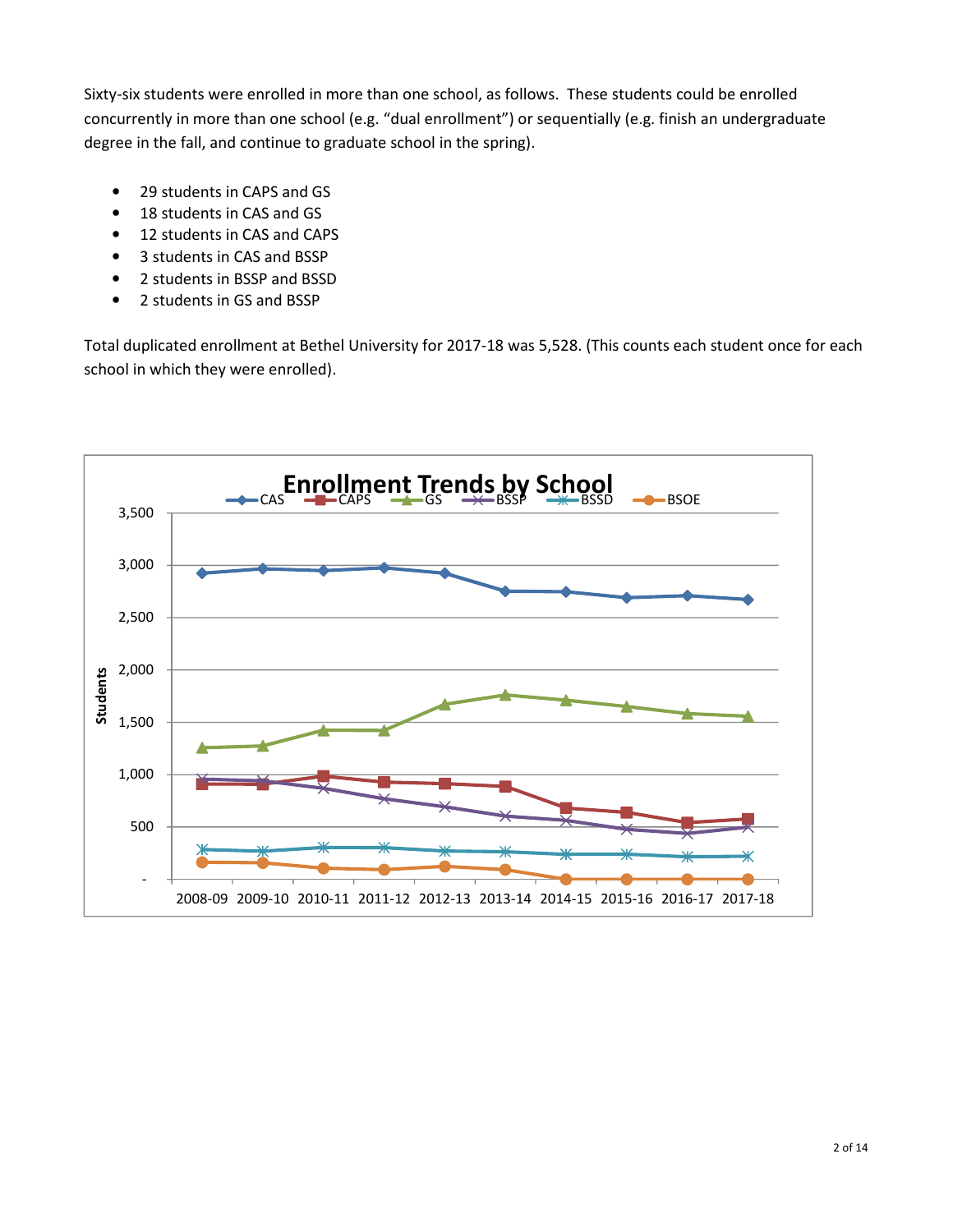Sixty-six students were enrolled in more than one school, as follows. These students could be enrolled concurrently in more than one school (e.g. "dual enrollment") or sequentially (e.g. finish an undergraduate degree in the fall, and continue to graduate school in the spring).

- 29 students in CAPS and GS
- 18 students in CAS and GS
- 12 students in CAS and CAPS
- 3 students in CAS and BSSP
- 2 students in BSSP and BSSD
- 2 students in GS and BSSP

Total duplicated enrollment at Bethel University for 2017-18 was 5,528. (This counts each student once for each school in which they were enrolled).

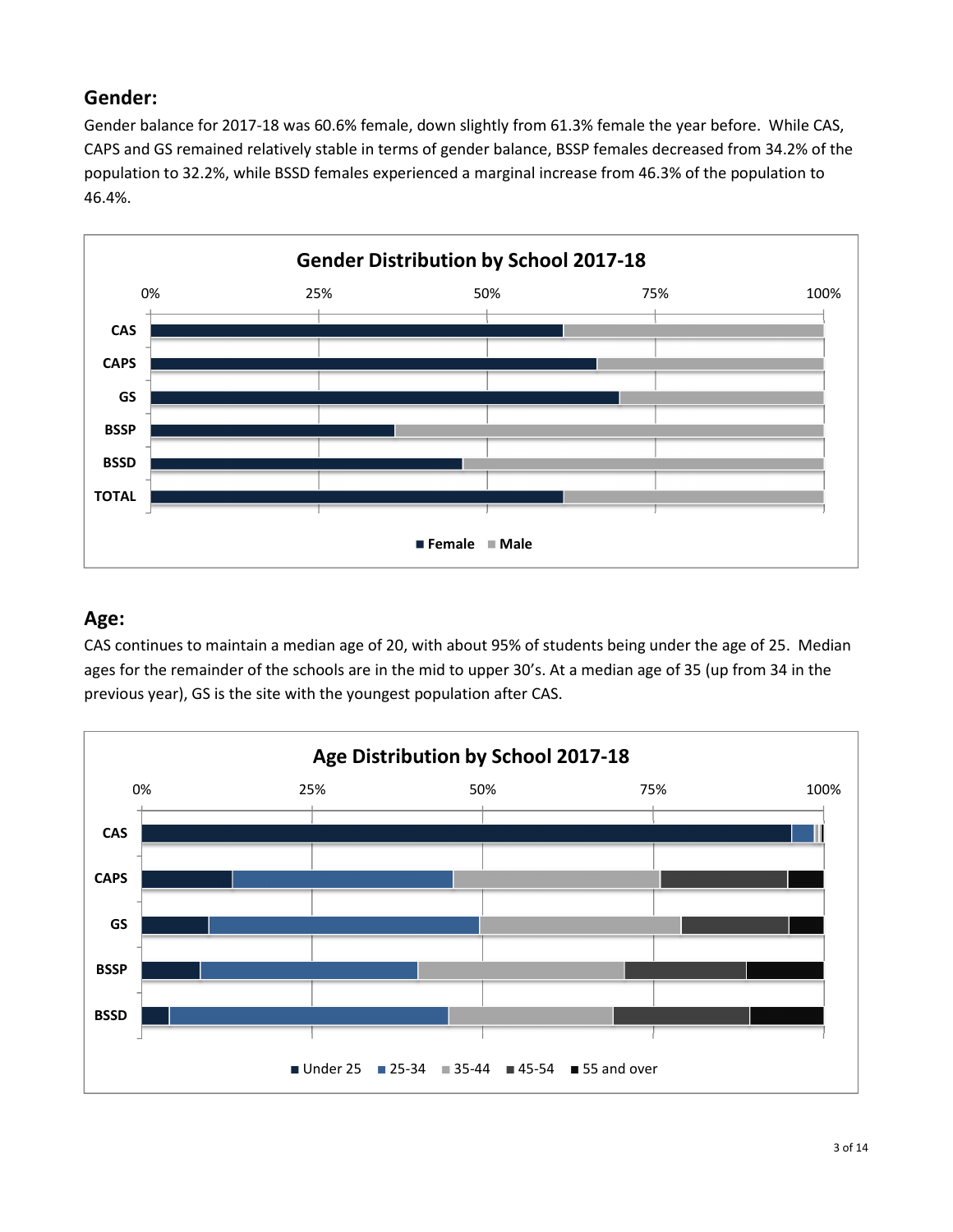## **Gender:**

Gender balance for 2017-18 was 60.6% female, down slightly from 61.3% female the year before. While CAS, CAPS and GS remained relatively stable in terms of gender balance, BSSP females decreased from 34.2% of the population to 32.2%, while BSSD females experienced a marginal increase from 46.3% of the population to 46.4%.



#### **Age:**

CAS continues to maintain a median age of 20, with about 95% of students being under the age of 25. Median ages for the remainder of the schools are in the mid to upper 30's. At a median age of 35 (up from 34 in the previous year), GS is the site with the youngest population after CAS.

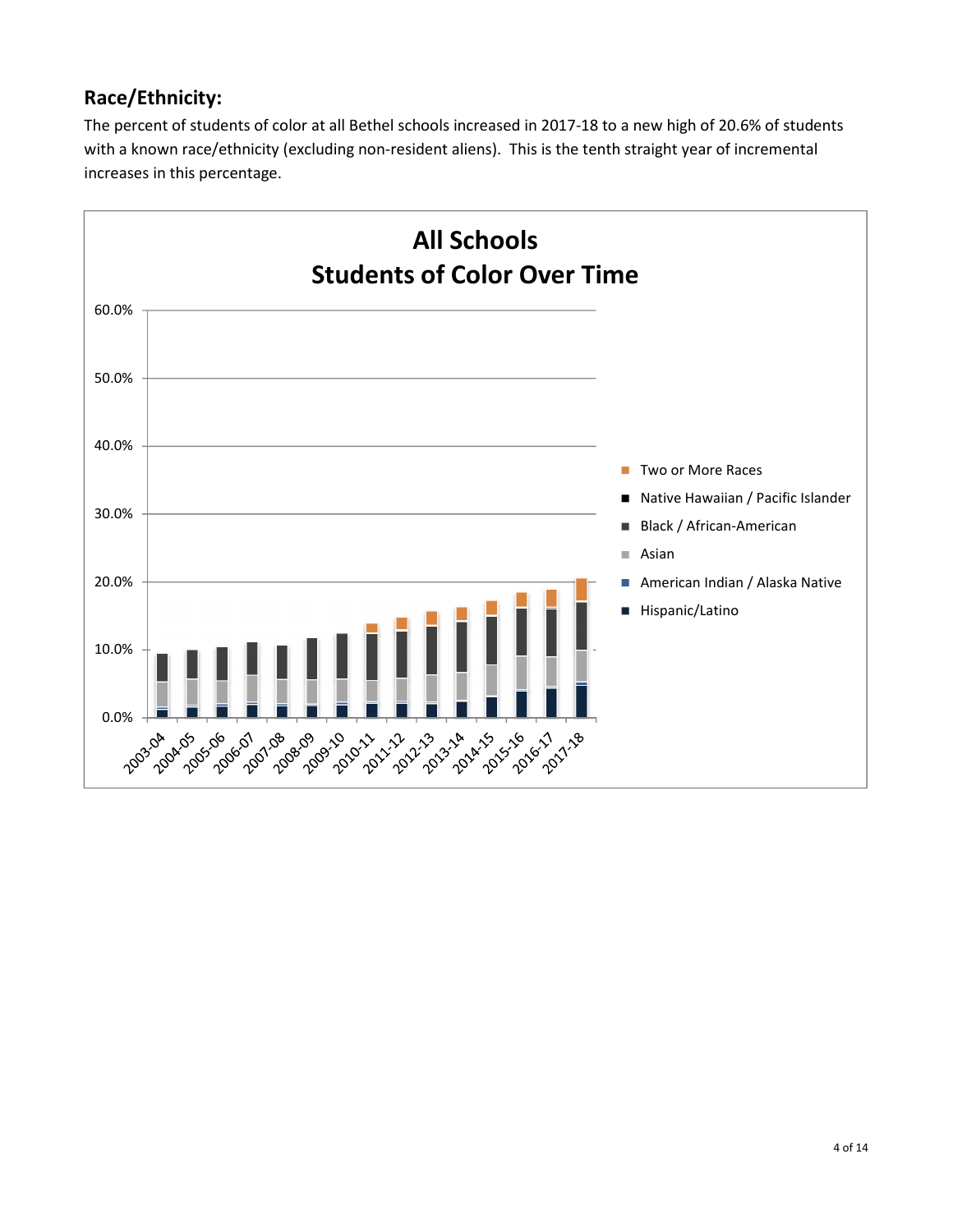## **Race/Ethnicity:**

The percent of students of color at all Bethel schools increased in 2017-18 to a new high of 20.6% of students with a known race/ethnicity (excluding non-resident aliens). This is the tenth straight year of incremental increases in this percentage.

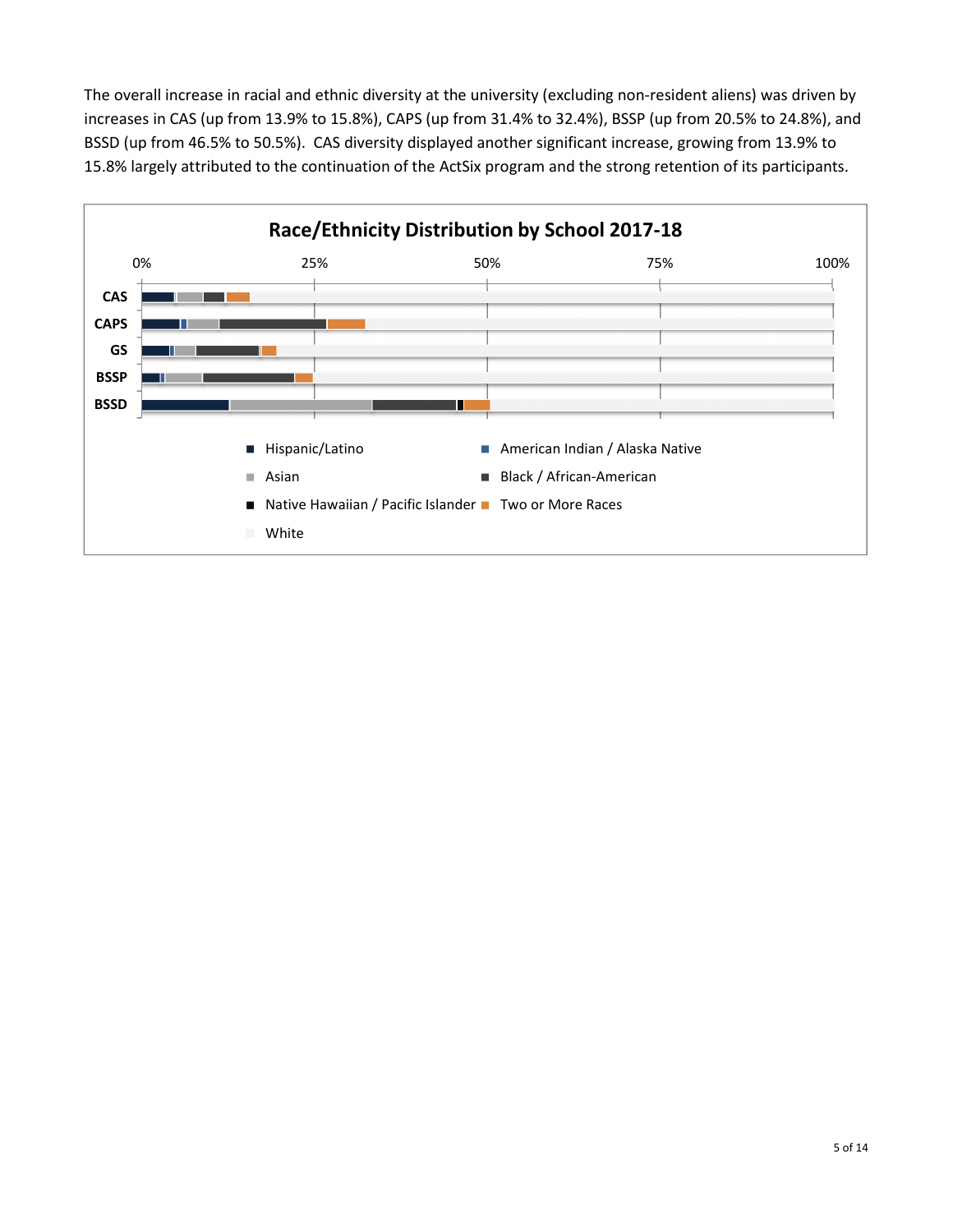The overall increase in racial and ethnic diversity at the university (excluding non-resident aliens) was driven by increases in CAS (up from 13.9% to 15.8%), CAPS (up from 31.4% to 32.4%), BSSP (up from 20.5% to 24.8%), and BSSD (up from 46.5% to 50.5%). CAS diversity displayed another significant increase, growing from 13.9% to 15.8% largely attributed to the continuation of the ActSix program and the strong retention of its participants.

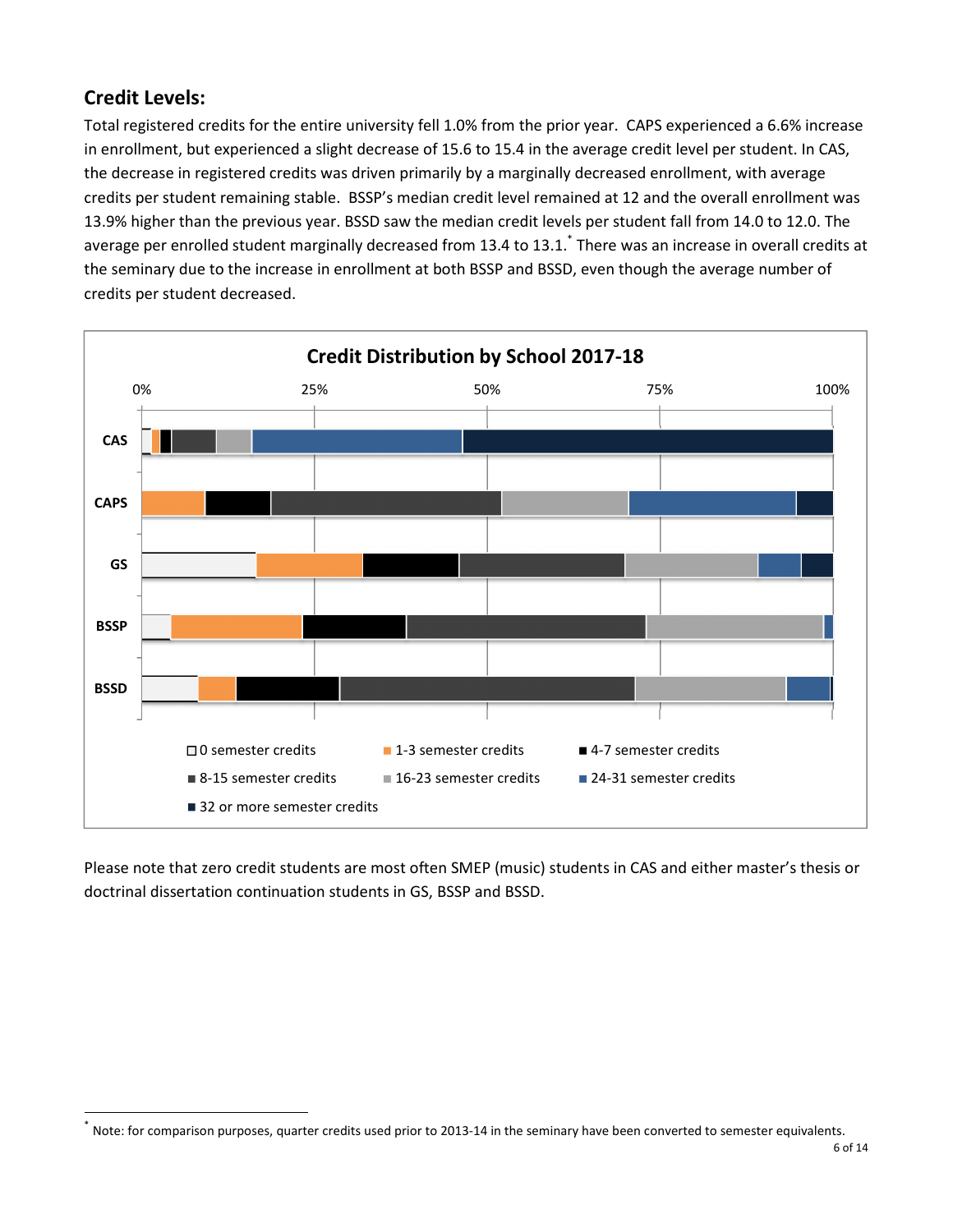## **Credit Levels:**

 $\overline{a}$ 

Total registered credits for the entire university fell 1.0% from the prior year. CAPS experienced a 6.6% increase in enrollment, but experienced a slight decrease of 15.6 to 15.4 in the average credit level per student. In CAS, the decrease in registered credits was driven primarily by a marginally decreased enrollment, with average credits per student remaining stable. BSSP's median credit level remained at 12 and the overall enrollment was 13.9% higher than the previous year. BSSD saw the median credit levels per student fall from 14.0 to 12.0. The average per enrolled student marginally decreased from 13.4 to 13.1.\* There was an increase in overall credits at the seminary due to the increase in enrollment at both BSSP and BSSD, even though the average number of credits per student decreased.



Please note that zero credit students are most often SMEP (music) students in CAS and either master's thesis or doctrinal dissertation continuation students in GS, BSSP and BSSD.

<sup>\*</sup> Note: for comparison purposes, quarter credits used prior to 2013-14 in the seminary have been converted to semester equivalents.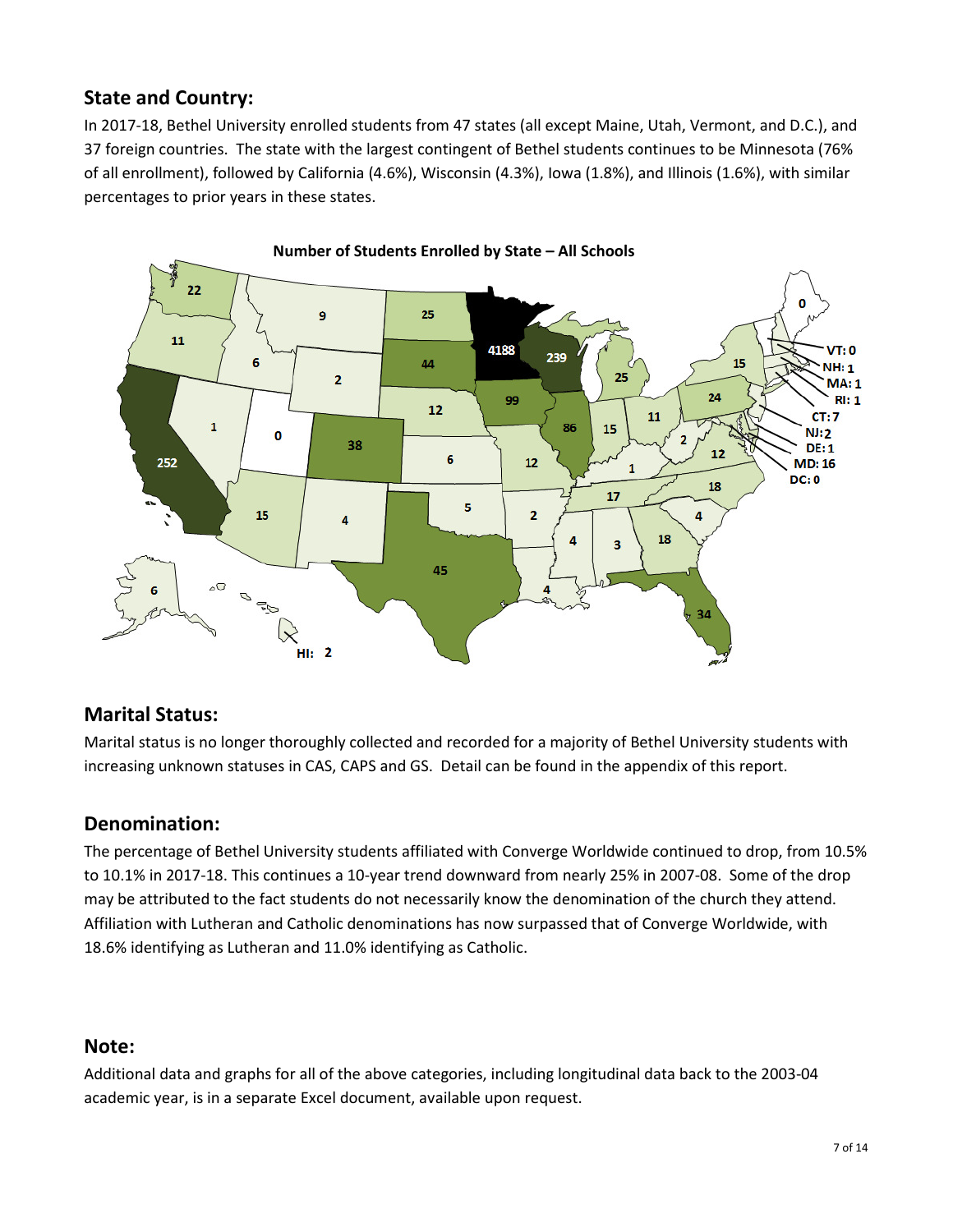## **State and Country:**

In 2017-18, Bethel University enrolled students from 47 states (all except Maine, Utah, Vermont, and D.C.), and 37 foreign countries. The state with the largest contingent of Bethel students continues to be Minnesota (76% of all enrollment), followed by California (4.6%), Wisconsin (4.3%), Iowa (1.8%), and Illinois (1.6%), with similar percentages to prior years in these states.



#### **Marital Status:**

Marital status is no longer thoroughly collected and recorded for a majority of Bethel University students with increasing unknown statuses in CAS, CAPS and GS. Detail can be found in the appendix of this report.

#### **Denomination:**

The percentage of Bethel University students affiliated with Converge Worldwide continued to drop, from 10.5% to 10.1% in 2017-18. This continues a 10-year trend downward from nearly 25% in 2007-08. Some of the drop may be attributed to the fact students do not necessarily know the denomination of the church they attend. Affiliation with Lutheran and Catholic denominations has now surpassed that of Converge Worldwide, with 18.6% identifying as Lutheran and 11.0% identifying as Catholic.

#### **Note:**

Additional data and graphs for all of the above categories, including longitudinal data back to the 2003-04 academic year, is in a separate Excel document, available upon request.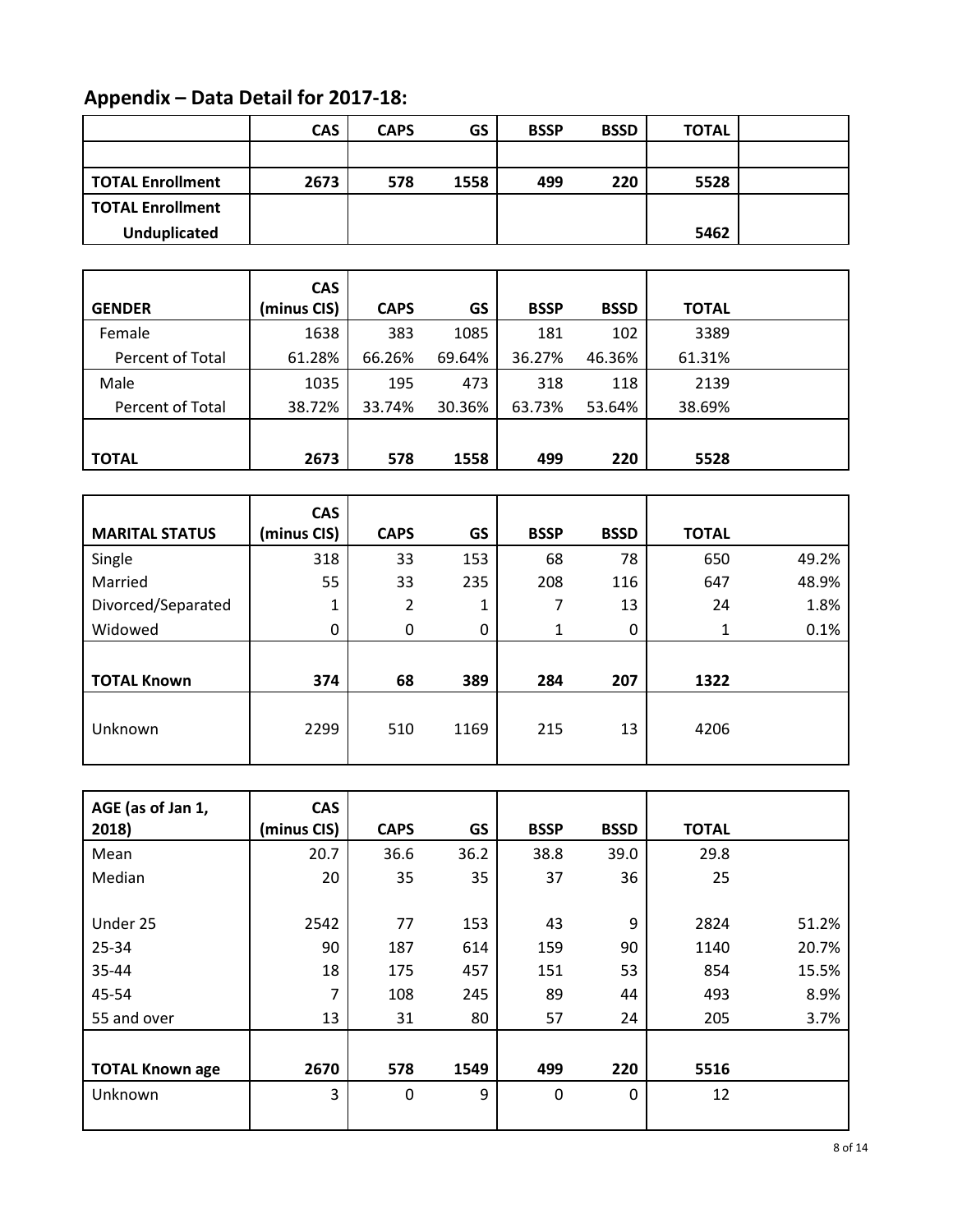# **Appendix – Data Detail for 2017-18:**

|                         | <b>CAS</b> | <b>CAPS</b> | GS   | <b>BSSP</b> | <b>BSSD</b> | <b>TOTAL</b> |
|-------------------------|------------|-------------|------|-------------|-------------|--------------|
|                         |            |             |      |             |             |              |
| <b>TOTAL Enrollment</b> | 2673       | 578         | 1558 | 499         | 220         | 5528         |
| <b>TOTAL Enrollment</b> |            |             |      |             |             |              |
| <b>Unduplicated</b>     |            |             |      |             |             | 5462         |

|                  | <b>CAS</b>  |             |        |             |             |              |  |
|------------------|-------------|-------------|--------|-------------|-------------|--------------|--|
| <b>GENDER</b>    | (minus CIS) | <b>CAPS</b> | GS     | <b>BSSP</b> | <b>BSSD</b> | <b>TOTAL</b> |  |
| Female           | 1638        | 383         | 1085   | 181         | 102         | 3389         |  |
| Percent of Total | 61.28%      | 66.26%      | 69.64% | 36.27%      | 46.36%      | 61.31%       |  |
| Male             | 1035        | 195         | 473    | 318         | 118         | 2139         |  |
| Percent of Total | 38.72%      | 33.74%      | 30.36% | 63.73%      | 53.64%      | 38.69%       |  |
|                  |             |             |        |             |             |              |  |
| <b>TOTAL</b>     | 2673        | 578         | 1558   | 499         | 220         | 5528         |  |

|                       | <b>CAS</b>  |             |      |             |             |              |       |
|-----------------------|-------------|-------------|------|-------------|-------------|--------------|-------|
| <b>MARITAL STATUS</b> | (minus CIS) | <b>CAPS</b> | GS   | <b>BSSP</b> | <b>BSSD</b> | <b>TOTAL</b> |       |
| Single                | 318         | 33          | 153  | 68          | 78          | 650          | 49.2% |
| Married               | 55          | 33          | 235  | 208         | 116         | 647          | 48.9% |
| Divorced/Separated    | 1           | 2           | 1    | 7           | 13          | 24           | 1.8%  |
| Widowed               | 0           | 0           | 0    | 1           | 0           | 1            | 0.1%  |
|                       |             |             |      |             |             |              |       |
| <b>TOTAL Known</b>    | 374         | 68          | 389  | 284         | 207         | 1322         |       |
| Unknown               | 2299        | 510         | 1169 | 215         | 13          | 4206         |       |

| AGE (as of Jan 1,      | <b>CAS</b>  |             |      |             |             |              |       |
|------------------------|-------------|-------------|------|-------------|-------------|--------------|-------|
| 2018)                  | (minus CIS) | <b>CAPS</b> | GS   | <b>BSSP</b> | <b>BSSD</b> | <b>TOTAL</b> |       |
| Mean                   | 20.7        | 36.6        | 36.2 | 38.8        | 39.0        | 29.8         |       |
| Median                 | 20          | 35          | 35   | 37          | 36          | 25           |       |
|                        |             |             |      |             |             |              |       |
| Under 25               | 2542        | 77          | 153  | 43          | 9           | 2824         | 51.2% |
| 25-34                  | 90          | 187         | 614  | 159         | 90          | 1140         | 20.7% |
| 35-44                  | 18          | 175         | 457  | 151         | 53          | 854          | 15.5% |
| 45-54                  | 7           | 108         | 245  | 89          | 44          | 493          | 8.9%  |
| 55 and over            | 13          | 31          | 80   | 57          | 24          | 205          | 3.7%  |
|                        |             |             |      |             |             |              |       |
| <b>TOTAL Known age</b> | 2670        | 578         | 1549 | 499         | 220         | 5516         |       |
| Unknown                | 3           | $\mathbf 0$ | 9    | $\mathbf 0$ | $\Omega$    | 12           |       |
|                        |             |             |      |             |             |              |       |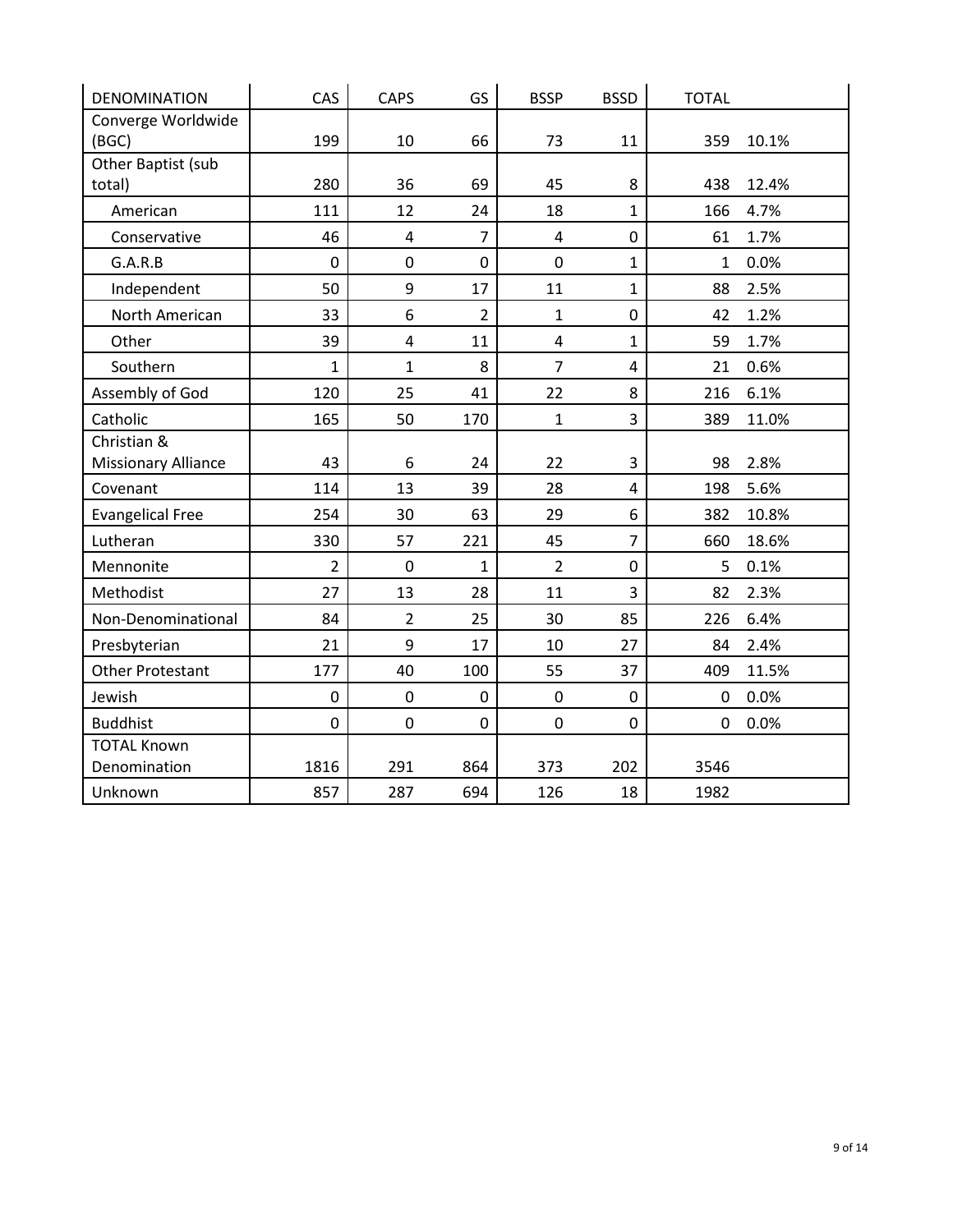| <b>DENOMINATION</b>        | CAS          | <b>CAPS</b>             | GS             | <b>BSSP</b>    | <b>BSSD</b>    | <b>TOTAL</b> |       |
|----------------------------|--------------|-------------------------|----------------|----------------|----------------|--------------|-------|
| Converge Worldwide         |              |                         |                |                |                |              |       |
| (BGC)                      | 199          | 10                      | 66             | 73             | 11             | 359          | 10.1% |
| Other Baptist (sub         | 280          | 36                      | 69             | 45             | 8              | 438          | 12.4% |
| total)                     |              |                         |                |                |                |              |       |
| American                   | 111          | 12                      | 24             | 18             | $\mathbf{1}$   | 166          | 4.7%  |
| Conservative               | 46           | $\overline{4}$          | $\overline{7}$ | $\overline{4}$ | $\mathbf 0$    | 61           | 1.7%  |
| G.A.R.B                    | $\mathbf 0$  | $\mathbf 0$             | $\mathbf 0$    | $\mathbf 0$    | $\mathbf 1$    | $\mathbf{1}$ | 0.0%  |
| Independent                | 50           | 9                       | 17             | 11             | $\mathbf{1}$   | 88           | 2.5%  |
| North American             | 33           | 6                       | $\overline{2}$ | $\mathbf{1}$   | $\mathbf 0$    | 42           | 1.2%  |
| Other                      | 39           | $\overline{\mathbf{4}}$ | 11             | $\overline{4}$ | $\mathbf{1}$   | 59           | 1.7%  |
| Southern                   | $\mathbf{1}$ | $\mathbf{1}$            | 8              | $\overline{7}$ | 4              | 21           | 0.6%  |
| Assembly of God            | 120          | 25                      | 41             | 22             | 8              | 216          | 6.1%  |
| Catholic                   | 165          | 50                      | 170            | $\mathbf{1}$   | 3              | 389          | 11.0% |
| Christian &                |              |                         |                |                |                |              |       |
| <b>Missionary Alliance</b> | 43           | 6                       | 24             | 22             | 3              | 98           | 2.8%  |
| Covenant                   | 114          | 13                      | 39             | 28             | $\overline{4}$ | 198          | 5.6%  |
| <b>Evangelical Free</b>    | 254          | 30                      | 63             | 29             | 6              | 382          | 10.8% |
| Lutheran                   | 330          | 57                      | 221            | 45             | $\overline{7}$ | 660          | 18.6% |
| Mennonite                  | 2            | $\pmb{0}$               | $\mathbf{1}$   | $\overline{2}$ | $\pmb{0}$      | 5            | 0.1%  |
| Methodist                  | 27           | 13                      | 28             | 11             | 3              | 82           | 2.3%  |
| Non-Denominational         | 84           | $\overline{2}$          | 25             | 30             | 85             | 226          | 6.4%  |
| Presbyterian               | 21           | 9                       | 17             | 10             | 27             | 84           | 2.4%  |
| <b>Other Protestant</b>    | 177          | 40                      | 100            | 55             | 37             | 409          | 11.5% |
| Jewish                     | $\pmb{0}$    | $\mathbf 0$             | $\mathbf 0$    | $\mathbf 0$    | $\mathbf 0$    | 0            | 0.0%  |
| <b>Buddhist</b>            | $\mathbf 0$  | $\mathbf 0$             | $\mathbf 0$    | $\mathbf 0$    | $\mathbf 0$    | $\mathbf 0$  | 0.0%  |
| <b>TOTAL Known</b>         |              |                         |                |                |                |              |       |
| Denomination               | 1816         | 291                     | 864            | 373            | 202            | 3546         |       |
| Unknown                    | 857          | 287                     | 694            | 126            | 18             | 1982         |       |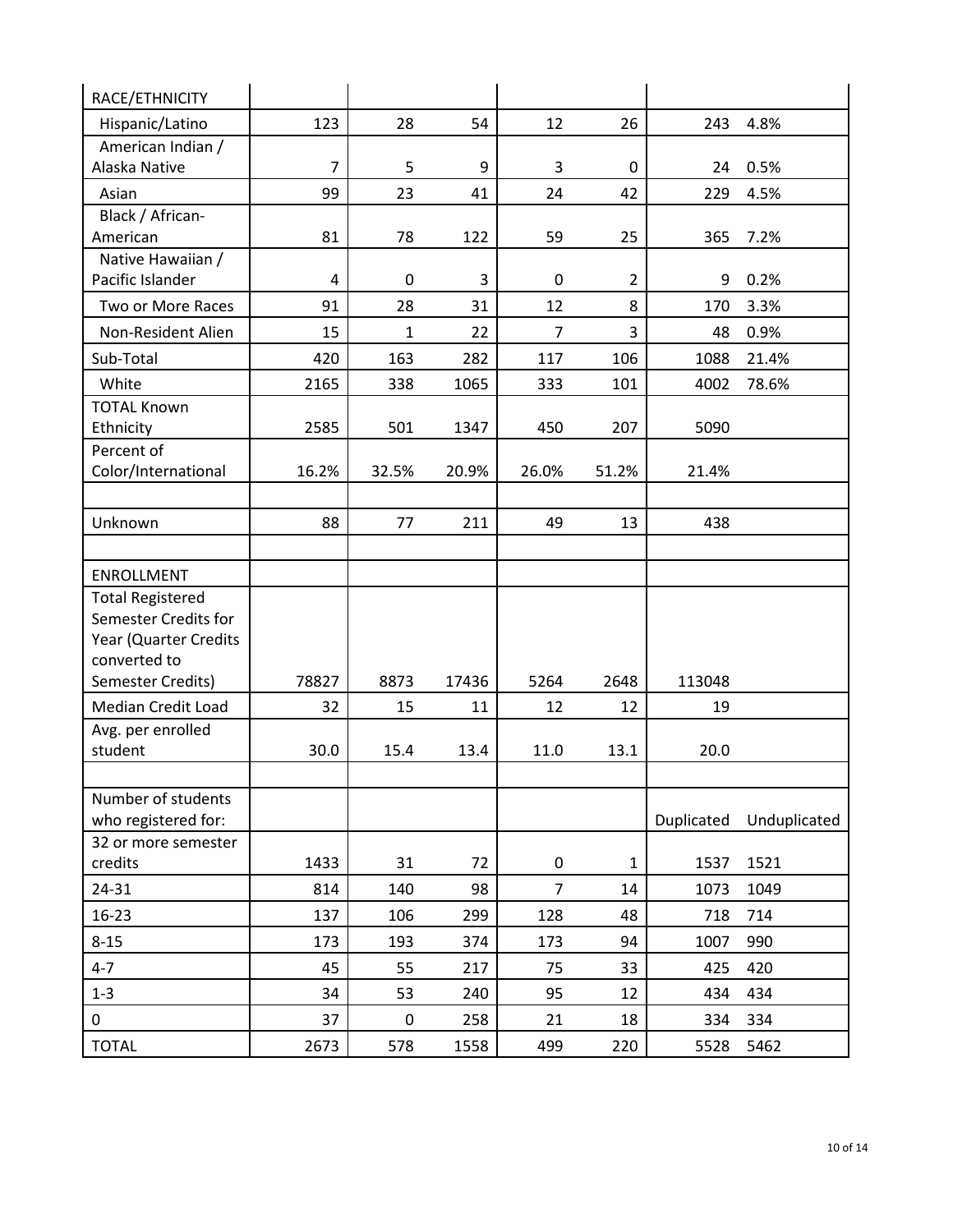| 12<br>26<br>123<br>28<br>54<br>243<br>4.8%<br>Hispanic/Latino<br>American Indian /<br>Alaska Native<br>$\overline{7}$<br>5<br>9<br>3<br>24<br>0.5%<br>0<br>99<br>23<br>24<br>42<br>229<br>4.5%<br>Asian<br>41<br>Black / African-<br>American<br>81<br>78<br>122<br>59<br>25<br>365<br>7.2%<br>Native Hawaiian /<br>Pacific Islander<br>4<br>3<br>0<br>0<br>$\overline{2}$<br>9<br>0.2%<br>Two or More Races<br>28<br>12<br>8<br>3.3%<br>91<br>31<br>170<br>3<br>Non-Resident Alien<br>15<br>$\mathbf{1}$<br>22<br>$\overline{7}$<br>48<br>0.9%<br>420<br>163<br>282<br>117<br>1088<br>21.4%<br>Sub-Total<br>106<br>White<br>1065<br>78.6%<br>2165<br>338<br>333<br>101<br>4002<br><b>TOTAL Known</b><br>Ethnicity<br>2585<br>501<br>1347<br>450<br>207<br>5090<br>Percent of<br>Color/International<br>16.2%<br>32.5%<br>20.9%<br>26.0%<br>51.2%<br>21.4%<br>Unknown<br>88<br>77<br>211<br>49<br>13<br>438<br>ENROLLMENT<br><b>Total Registered</b><br>Semester Credits for<br>Year (Quarter Credits<br>converted to<br>Semester Credits)<br>78827<br>8873<br>17436<br>5264<br>2648<br>113048<br>Median Credit Load<br>32<br>15<br>12<br>11<br>12<br>19<br>Avg. per enrolled<br>student<br>20.0<br>30.0<br>15.4<br>13.4<br>11.0<br>13.1<br>Number of students<br>who registered for:<br>Duplicated<br>Unduplicated<br>32 or more semester<br>credits<br>1433<br>31<br>72<br>1537<br>1521<br>0<br>$\mathbf 1$<br>$\overline{7}$<br>814<br>140<br>24-31<br>98<br>14<br>1049<br>1073<br>128<br>16-23<br>137<br>106<br>299<br>48<br>714<br>718<br>$8 - 15$<br>193<br>94<br>173<br>374<br>173<br>1007<br>990<br>$4 - 7$<br>45<br>55<br>75<br>33<br>425<br>217<br>420<br>$1 - 3$<br>34<br>53<br>95<br>12<br>434<br>240<br>434<br>37<br>18<br>0<br>$\boldsymbol{0}$<br>258<br>21<br>334<br>334<br><b>TOTAL</b><br>2673<br>578<br>1558<br>499<br>220<br>5462<br>5528 | RACE/ETHNICITY |  |  |  |  |
|---------------------------------------------------------------------------------------------------------------------------------------------------------------------------------------------------------------------------------------------------------------------------------------------------------------------------------------------------------------------------------------------------------------------------------------------------------------------------------------------------------------------------------------------------------------------------------------------------------------------------------------------------------------------------------------------------------------------------------------------------------------------------------------------------------------------------------------------------------------------------------------------------------------------------------------------------------------------------------------------------------------------------------------------------------------------------------------------------------------------------------------------------------------------------------------------------------------------------------------------------------------------------------------------------------------------------------------------------------------------------------------------------------------------------------------------------------------------------------------------------------------------------------------------------------------------------------------------------------------------------------------------------------------------------------------------------------------------------------------------------------------------------------------------------------------------------------------------------------------|----------------|--|--|--|--|
|                                                                                                                                                                                                                                                                                                                                                                                                                                                                                                                                                                                                                                                                                                                                                                                                                                                                                                                                                                                                                                                                                                                                                                                                                                                                                                                                                                                                                                                                                                                                                                                                                                                                                                                                                                                                                                                               |                |  |  |  |  |
|                                                                                                                                                                                                                                                                                                                                                                                                                                                                                                                                                                                                                                                                                                                                                                                                                                                                                                                                                                                                                                                                                                                                                                                                                                                                                                                                                                                                                                                                                                                                                                                                                                                                                                                                                                                                                                                               |                |  |  |  |  |
|                                                                                                                                                                                                                                                                                                                                                                                                                                                                                                                                                                                                                                                                                                                                                                                                                                                                                                                                                                                                                                                                                                                                                                                                                                                                                                                                                                                                                                                                                                                                                                                                                                                                                                                                                                                                                                                               |                |  |  |  |  |
|                                                                                                                                                                                                                                                                                                                                                                                                                                                                                                                                                                                                                                                                                                                                                                                                                                                                                                                                                                                                                                                                                                                                                                                                                                                                                                                                                                                                                                                                                                                                                                                                                                                                                                                                                                                                                                                               |                |  |  |  |  |
|                                                                                                                                                                                                                                                                                                                                                                                                                                                                                                                                                                                                                                                                                                                                                                                                                                                                                                                                                                                                                                                                                                                                                                                                                                                                                                                                                                                                                                                                                                                                                                                                                                                                                                                                                                                                                                                               |                |  |  |  |  |
|                                                                                                                                                                                                                                                                                                                                                                                                                                                                                                                                                                                                                                                                                                                                                                                                                                                                                                                                                                                                                                                                                                                                                                                                                                                                                                                                                                                                                                                                                                                                                                                                                                                                                                                                                                                                                                                               |                |  |  |  |  |
|                                                                                                                                                                                                                                                                                                                                                                                                                                                                                                                                                                                                                                                                                                                                                                                                                                                                                                                                                                                                                                                                                                                                                                                                                                                                                                                                                                                                                                                                                                                                                                                                                                                                                                                                                                                                                                                               |                |  |  |  |  |
|                                                                                                                                                                                                                                                                                                                                                                                                                                                                                                                                                                                                                                                                                                                                                                                                                                                                                                                                                                                                                                                                                                                                                                                                                                                                                                                                                                                                                                                                                                                                                                                                                                                                                                                                                                                                                                                               |                |  |  |  |  |
|                                                                                                                                                                                                                                                                                                                                                                                                                                                                                                                                                                                                                                                                                                                                                                                                                                                                                                                                                                                                                                                                                                                                                                                                                                                                                                                                                                                                                                                                                                                                                                                                                                                                                                                                                                                                                                                               |                |  |  |  |  |
|                                                                                                                                                                                                                                                                                                                                                                                                                                                                                                                                                                                                                                                                                                                                                                                                                                                                                                                                                                                                                                                                                                                                                                                                                                                                                                                                                                                                                                                                                                                                                                                                                                                                                                                                                                                                                                                               |                |  |  |  |  |
|                                                                                                                                                                                                                                                                                                                                                                                                                                                                                                                                                                                                                                                                                                                                                                                                                                                                                                                                                                                                                                                                                                                                                                                                                                                                                                                                                                                                                                                                                                                                                                                                                                                                                                                                                                                                                                                               |                |  |  |  |  |
|                                                                                                                                                                                                                                                                                                                                                                                                                                                                                                                                                                                                                                                                                                                                                                                                                                                                                                                                                                                                                                                                                                                                                                                                                                                                                                                                                                                                                                                                                                                                                                                                                                                                                                                                                                                                                                                               |                |  |  |  |  |
|                                                                                                                                                                                                                                                                                                                                                                                                                                                                                                                                                                                                                                                                                                                                                                                                                                                                                                                                                                                                                                                                                                                                                                                                                                                                                                                                                                                                                                                                                                                                                                                                                                                                                                                                                                                                                                                               |                |  |  |  |  |
|                                                                                                                                                                                                                                                                                                                                                                                                                                                                                                                                                                                                                                                                                                                                                                                                                                                                                                                                                                                                                                                                                                                                                                                                                                                                                                                                                                                                                                                                                                                                                                                                                                                                                                                                                                                                                                                               |                |  |  |  |  |
|                                                                                                                                                                                                                                                                                                                                                                                                                                                                                                                                                                                                                                                                                                                                                                                                                                                                                                                                                                                                                                                                                                                                                                                                                                                                                                                                                                                                                                                                                                                                                                                                                                                                                                                                                                                                                                                               |                |  |  |  |  |
|                                                                                                                                                                                                                                                                                                                                                                                                                                                                                                                                                                                                                                                                                                                                                                                                                                                                                                                                                                                                                                                                                                                                                                                                                                                                                                                                                                                                                                                                                                                                                                                                                                                                                                                                                                                                                                                               |                |  |  |  |  |
|                                                                                                                                                                                                                                                                                                                                                                                                                                                                                                                                                                                                                                                                                                                                                                                                                                                                                                                                                                                                                                                                                                                                                                                                                                                                                                                                                                                                                                                                                                                                                                                                                                                                                                                                                                                                                                                               |                |  |  |  |  |
|                                                                                                                                                                                                                                                                                                                                                                                                                                                                                                                                                                                                                                                                                                                                                                                                                                                                                                                                                                                                                                                                                                                                                                                                                                                                                                                                                                                                                                                                                                                                                                                                                                                                                                                                                                                                                                                               |                |  |  |  |  |
|                                                                                                                                                                                                                                                                                                                                                                                                                                                                                                                                                                                                                                                                                                                                                                                                                                                                                                                                                                                                                                                                                                                                                                                                                                                                                                                                                                                                                                                                                                                                                                                                                                                                                                                                                                                                                                                               |                |  |  |  |  |
|                                                                                                                                                                                                                                                                                                                                                                                                                                                                                                                                                                                                                                                                                                                                                                                                                                                                                                                                                                                                                                                                                                                                                                                                                                                                                                                                                                                                                                                                                                                                                                                                                                                                                                                                                                                                                                                               |                |  |  |  |  |
|                                                                                                                                                                                                                                                                                                                                                                                                                                                                                                                                                                                                                                                                                                                                                                                                                                                                                                                                                                                                                                                                                                                                                                                                                                                                                                                                                                                                                                                                                                                                                                                                                                                                                                                                                                                                                                                               |                |  |  |  |  |
|                                                                                                                                                                                                                                                                                                                                                                                                                                                                                                                                                                                                                                                                                                                                                                                                                                                                                                                                                                                                                                                                                                                                                                                                                                                                                                                                                                                                                                                                                                                                                                                                                                                                                                                                                                                                                                                               |                |  |  |  |  |
|                                                                                                                                                                                                                                                                                                                                                                                                                                                                                                                                                                                                                                                                                                                                                                                                                                                                                                                                                                                                                                                                                                                                                                                                                                                                                                                                                                                                                                                                                                                                                                                                                                                                                                                                                                                                                                                               |                |  |  |  |  |
|                                                                                                                                                                                                                                                                                                                                                                                                                                                                                                                                                                                                                                                                                                                                                                                                                                                                                                                                                                                                                                                                                                                                                                                                                                                                                                                                                                                                                                                                                                                                                                                                                                                                                                                                                                                                                                                               |                |  |  |  |  |
|                                                                                                                                                                                                                                                                                                                                                                                                                                                                                                                                                                                                                                                                                                                                                                                                                                                                                                                                                                                                                                                                                                                                                                                                                                                                                                                                                                                                                                                                                                                                                                                                                                                                                                                                                                                                                                                               |                |  |  |  |  |
|                                                                                                                                                                                                                                                                                                                                                                                                                                                                                                                                                                                                                                                                                                                                                                                                                                                                                                                                                                                                                                                                                                                                                                                                                                                                                                                                                                                                                                                                                                                                                                                                                                                                                                                                                                                                                                                               |                |  |  |  |  |
|                                                                                                                                                                                                                                                                                                                                                                                                                                                                                                                                                                                                                                                                                                                                                                                                                                                                                                                                                                                                                                                                                                                                                                                                                                                                                                                                                                                                                                                                                                                                                                                                                                                                                                                                                                                                                                                               |                |  |  |  |  |
|                                                                                                                                                                                                                                                                                                                                                                                                                                                                                                                                                                                                                                                                                                                                                                                                                                                                                                                                                                                                                                                                                                                                                                                                                                                                                                                                                                                                                                                                                                                                                                                                                                                                                                                                                                                                                                                               |                |  |  |  |  |
|                                                                                                                                                                                                                                                                                                                                                                                                                                                                                                                                                                                                                                                                                                                                                                                                                                                                                                                                                                                                                                                                                                                                                                                                                                                                                                                                                                                                                                                                                                                                                                                                                                                                                                                                                                                                                                                               |                |  |  |  |  |
|                                                                                                                                                                                                                                                                                                                                                                                                                                                                                                                                                                                                                                                                                                                                                                                                                                                                                                                                                                                                                                                                                                                                                                                                                                                                                                                                                                                                                                                                                                                                                                                                                                                                                                                                                                                                                                                               |                |  |  |  |  |
|                                                                                                                                                                                                                                                                                                                                                                                                                                                                                                                                                                                                                                                                                                                                                                                                                                                                                                                                                                                                                                                                                                                                                                                                                                                                                                                                                                                                                                                                                                                                                                                                                                                                                                                                                                                                                                                               |                |  |  |  |  |
|                                                                                                                                                                                                                                                                                                                                                                                                                                                                                                                                                                                                                                                                                                                                                                                                                                                                                                                                                                                                                                                                                                                                                                                                                                                                                                                                                                                                                                                                                                                                                                                                                                                                                                                                                                                                                                                               |                |  |  |  |  |
|                                                                                                                                                                                                                                                                                                                                                                                                                                                                                                                                                                                                                                                                                                                                                                                                                                                                                                                                                                                                                                                                                                                                                                                                                                                                                                                                                                                                                                                                                                                                                                                                                                                                                                                                                                                                                                                               |                |  |  |  |  |
|                                                                                                                                                                                                                                                                                                                                                                                                                                                                                                                                                                                                                                                                                                                                                                                                                                                                                                                                                                                                                                                                                                                                                                                                                                                                                                                                                                                                                                                                                                                                                                                                                                                                                                                                                                                                                                                               |                |  |  |  |  |
|                                                                                                                                                                                                                                                                                                                                                                                                                                                                                                                                                                                                                                                                                                                                                                                                                                                                                                                                                                                                                                                                                                                                                                                                                                                                                                                                                                                                                                                                                                                                                                                                                                                                                                                                                                                                                                                               |                |  |  |  |  |
|                                                                                                                                                                                                                                                                                                                                                                                                                                                                                                                                                                                                                                                                                                                                                                                                                                                                                                                                                                                                                                                                                                                                                                                                                                                                                                                                                                                                                                                                                                                                                                                                                                                                                                                                                                                                                                                               |                |  |  |  |  |
|                                                                                                                                                                                                                                                                                                                                                                                                                                                                                                                                                                                                                                                                                                                                                                                                                                                                                                                                                                                                                                                                                                                                                                                                                                                                                                                                                                                                                                                                                                                                                                                                                                                                                                                                                                                                                                                               |                |  |  |  |  |
|                                                                                                                                                                                                                                                                                                                                                                                                                                                                                                                                                                                                                                                                                                                                                                                                                                                                                                                                                                                                                                                                                                                                                                                                                                                                                                                                                                                                                                                                                                                                                                                                                                                                                                                                                                                                                                                               |                |  |  |  |  |
|                                                                                                                                                                                                                                                                                                                                                                                                                                                                                                                                                                                                                                                                                                                                                                                                                                                                                                                                                                                                                                                                                                                                                                                                                                                                                                                                                                                                                                                                                                                                                                                                                                                                                                                                                                                                                                                               |                |  |  |  |  |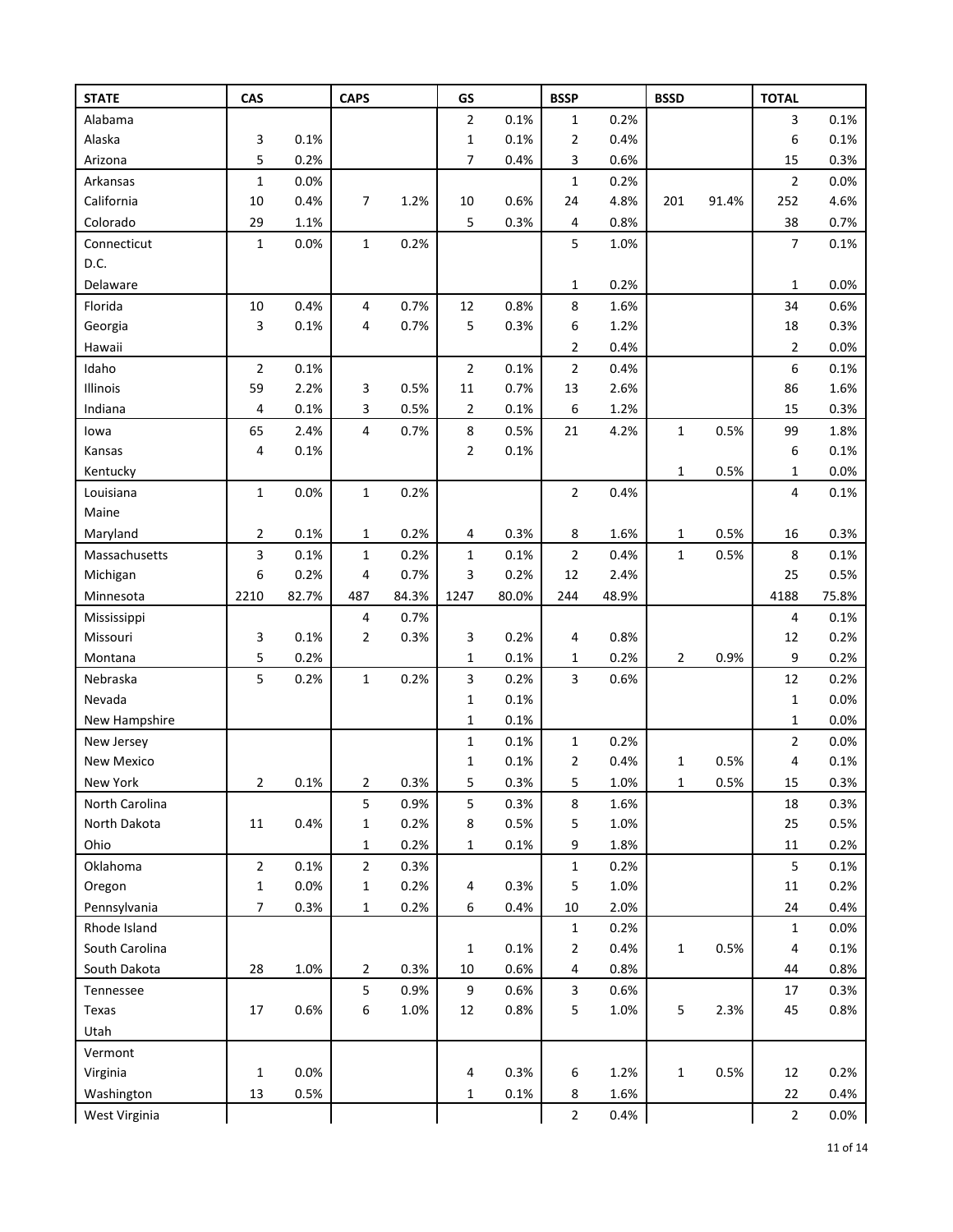| <b>STATE</b>   | CAS            |       | <b>CAPS</b>    |       | GS             |       | <b>BSSP</b>             |       | <b>BSSD</b>    |         | <b>TOTAL</b>            |       |
|----------------|----------------|-------|----------------|-------|----------------|-------|-------------------------|-------|----------------|---------|-------------------------|-------|
| Alabama        |                |       |                |       | $\overline{2}$ | 0.1%  | $\mathbf 1$             | 0.2%  |                |         | 3                       | 0.1%  |
| Alaska         | 3              | 0.1%  |                |       | $\mathbf{1}$   | 0.1%  | $\overline{2}$          | 0.4%  |                |         | 6                       | 0.1%  |
| Arizona        | 5              | 0.2%  |                |       | $\overline{7}$ | 0.4%  | 3                       | 0.6%  |                |         | 15                      | 0.3%  |
| Arkansas       | $\mathbf 1$    | 0.0%  |                |       |                |       | $\mathbf 1$             | 0.2%  |                |         | $\overline{\mathbf{c}}$ | 0.0%  |
| California     | 10             | 0.4%  | 7              | 1.2%  | 10             | 0.6%  | 24                      | 4.8%  | 201            | 91.4%   | 252                     | 4.6%  |
| Colorado       | 29             | 1.1%  |                |       | 5              | 0.3%  | 4                       | 0.8%  |                |         | 38                      | 0.7%  |
| Connecticut    | $\mathbf{1}$   | 0.0%  | $\mathbf{1}$   | 0.2%  |                |       | 5                       | 1.0%  |                |         | 7                       | 0.1%  |
| D.C.           |                |       |                |       |                |       |                         |       |                |         |                         |       |
| Delaware       |                |       |                |       |                |       | 1                       | 0.2%  |                |         | 1                       | 0.0%  |
| Florida        | $10\,$         | 0.4%  | 4              | 0.7%  | 12             | 0.8%  | 8                       | 1.6%  |                |         | 34                      | 0.6%  |
| Georgia        | 3              | 0.1%  | 4              | 0.7%  | 5              | 0.3%  | 6                       | 1.2%  |                |         | 18                      | 0.3%  |
| Hawaii         |                |       |                |       |                |       | 2                       | 0.4%  |                |         | 2                       | 0.0%  |
| Idaho          | $\overline{2}$ | 0.1%  |                |       | $\mathbf 2$    | 0.1%  | $\overline{2}$          | 0.4%  |                |         | 6                       | 0.1%  |
| Illinois       | 59             | 2.2%  | 3              | 0.5%  | 11             | 0.7%  | 13                      | 2.6%  |                |         | 86                      | 1.6%  |
| Indiana        | 4              | 0.1%  | 3              | 0.5%  | $\overline{2}$ | 0.1%  | 6                       | 1.2%  |                |         | 15                      | 0.3%  |
| lowa           | 65             | 2.4%  | 4              | 0.7%  | 8              | 0.5%  | 21                      | 4.2%  | $\mathbf{1}$   | 0.5%    | 99                      | 1.8%  |
| Kansas         | 4              | 0.1%  |                |       | $\overline{2}$ | 0.1%  |                         |       |                |         | 6                       | 0.1%  |
| Kentucky       |                |       |                |       |                |       |                         |       | 1              | 0.5%    | 1                       | 0.0%  |
| Louisiana      | $\mathbf 1$    | 0.0%  | $\mathbf{1}$   | 0.2%  |                |       | $\overline{2}$          | 0.4%  |                |         | 4                       | 0.1%  |
| Maine          |                |       |                |       |                |       |                         |       |                |         |                         |       |
| Maryland       | 2              | 0.1%  | 1              | 0.2%  | 4              | 0.3%  | 8                       | 1.6%  | 1              | 0.5%    | 16                      | 0.3%  |
| Massachusetts  | 3              | 0.1%  | $\mathbf 1$    | 0.2%  | $\mathbf{1}$   | 0.1%  | 2                       | 0.4%  | $\mathbf{1}$   | 0.5%    | 8                       | 0.1%  |
| Michigan       | 6              | 0.2%  | 4              | 0.7%  | 3              | 0.2%  | 12                      | 2.4%  |                |         | 25                      | 0.5%  |
| Minnesota      | 2210           | 82.7% | 487            | 84.3% | 1247           | 80.0% | 244                     | 48.9% |                |         | 4188                    | 75.8% |
| Mississippi    |                |       | 4              | 0.7%  |                |       |                         |       |                |         | 4                       | 0.1%  |
| Missouri       | 3              | 0.1%  | 2              | 0.3%  | 3              | 0.2%  | 4                       | 0.8%  |                |         | 12                      | 0.2%  |
| Montana        | 5              | 0.2%  |                |       | $\mathbf{1}$   | 0.1%  | 1                       | 0.2%  | $\overline{2}$ | 0.9%    | 9                       | 0.2%  |
| Nebraska       | 5              | 0.2%  | $\mathbf 1$    | 0.2%  | 3              | 0.2%  | 3                       | 0.6%  |                |         | 12                      | 0.2%  |
| Nevada         |                |       |                |       | $\mathbf{1}$   | 0.1%  |                         |       |                |         | $\mathbf 1$             | 0.0%  |
| New Hampshire  |                |       |                |       | $\mathbf{1}$   | 0.1%  |                         |       |                |         | 1                       | 0.0%  |
| New Jersey     |                |       |                |       | $\mathbf{1}$   | 0.1%  | $\mathbf 1$             | 0.2%  |                |         | $\overline{2}$          | 0.0%  |
| New Mexico     |                |       |                |       | $\mathbf{1}$   | 0.1%  | 2                       | 0.4%  | 1              | 0.5%    | 4                       | 0.1%  |
| New York       | 2              | 0.1%  | 2              | 0.3%  | 5              | 0.3%  | 5                       | 1.0%  | 1              | $0.5\%$ | 15                      | 0.3%  |
| North Carolina |                |       | 5              | 0.9%  | 5              | 0.3%  | 8                       | 1.6%  |                |         | 18                      | 0.3%  |
| North Dakota   | 11             | 0.4%  | 1              | 0.2%  | 8              | 0.5%  | 5                       | 1.0%  |                |         | 25                      | 0.5%  |
| Ohio           |                |       | 1              | 0.2%  | $\mathbf{1}$   | 0.1%  | 9                       | 1.8%  |                |         | $11\,$                  | 0.2%  |
| Oklahoma       | $\overline{2}$ | 0.1%  | $\overline{2}$ | 0.3%  |                |       | $\mathbf 1$             | 0.2%  |                |         | 5                       | 0.1%  |
| Oregon         | $\mathbf 1$    | 0.0%  | 1              | 0.2%  | 4              | 0.3%  | 5                       | 1.0%  |                |         | $11\,$                  | 0.2%  |
| Pennsylvania   | 7              | 0.3%  | $\mathbf 1$    | 0.2%  | 6              | 0.4%  | 10                      | 2.0%  |                |         | 24                      | 0.4%  |
| Rhode Island   |                |       |                |       |                |       | 1                       | 0.2%  |                |         | $\mathbf{1}$            | 0.0%  |
| South Carolina |                |       |                |       | $\mathbf{1}$   | 0.1%  | 2                       | 0.4%  | $\mathbf{1}$   | 0.5%    | 4                       | 0.1%  |
| South Dakota   | 28             | 1.0%  | $\overline{2}$ | 0.3%  | 10             | 0.6%  | 4                       | 0.8%  |                |         | 44                      | 0.8%  |
| Tennessee      |                |       | 5              | 0.9%  | 9              | 0.6%  | 3                       | 0.6%  |                |         | 17                      | 0.3%  |
| Texas          | 17             | 0.6%  | 6              | 1.0%  | 12             | 0.8%  | 5                       | 1.0%  | 5              | 2.3%    | 45                      | 0.8%  |
| Utah           |                |       |                |       |                |       |                         |       |                |         |                         |       |
| Vermont        |                |       |                |       |                |       |                         |       |                |         |                         |       |
| Virginia       | $\mathbf{1}$   | 0.0%  |                |       | 4              | 0.3%  | 6                       | 1.2%  | $\mathbf{1}$   | 0.5%    | 12                      | 0.2%  |
| Washington     | 13             | 0.5%  |                |       | $\mathbf{1}$   | 0.1%  | 8                       | 1.6%  |                |         | 22                      | 0.4%  |
| West Virginia  |                |       |                |       |                |       | $\overline{\mathbf{c}}$ | 0.4%  |                |         | $\overline{2}$          | 0.0%  |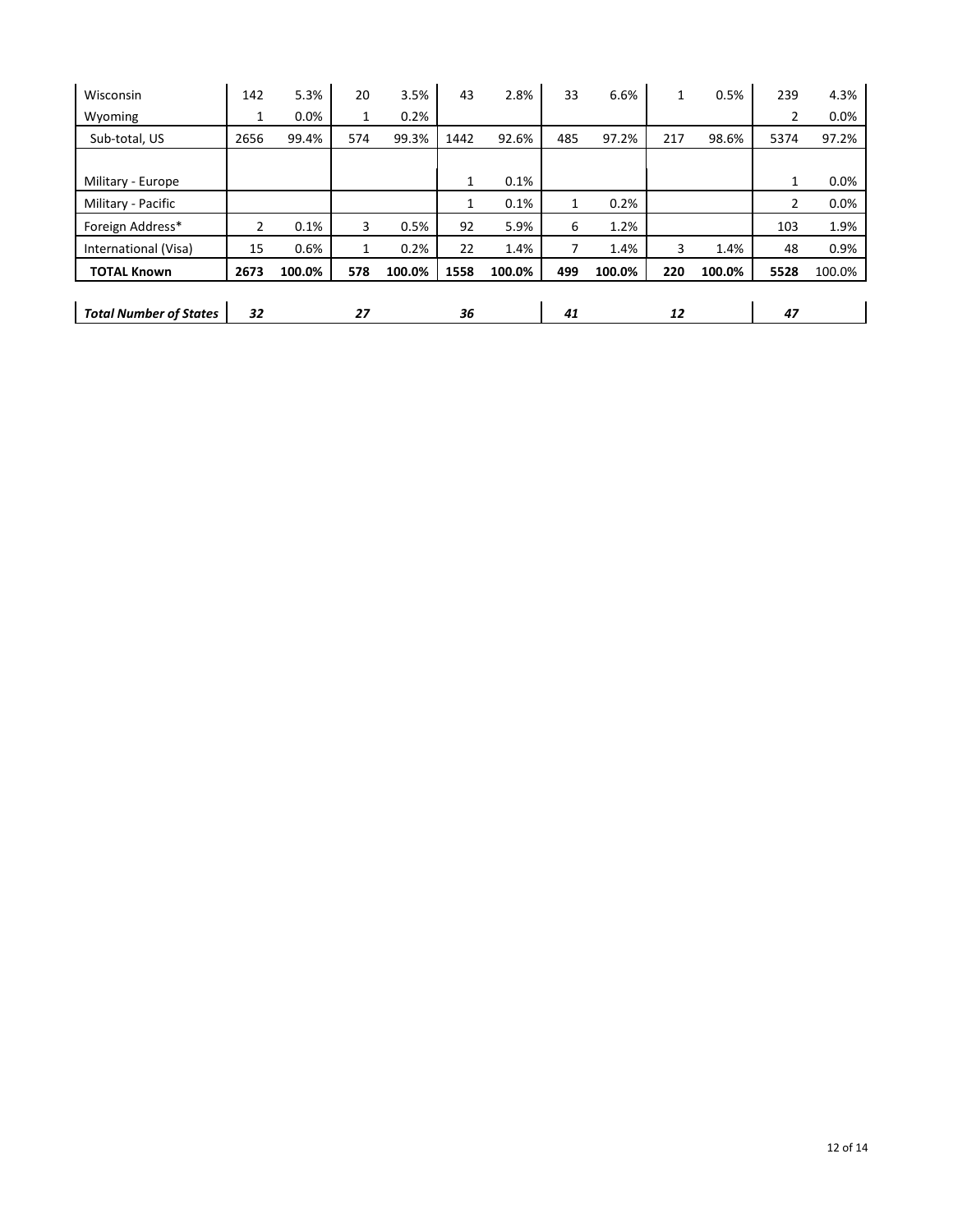| Wisconsin                     | 142  | 5.3%   | 20  | 3.5%   | 43   | 2.8%   | 33  | 6.6%   | 1   | 0.5%   | 239            | 4.3%   |
|-------------------------------|------|--------|-----|--------|------|--------|-----|--------|-----|--------|----------------|--------|
| Wyoming                       | 1    | 0.0%   | 1   | 0.2%   |      |        |     |        |     |        | $\overline{2}$ | 0.0%   |
| Sub-total, US                 | 2656 | 99.4%  | 574 | 99.3%  | 1442 | 92.6%  | 485 | 97.2%  | 217 | 98.6%  | 5374           | 97.2%  |
|                               |      |        |     |        |      |        |     |        |     |        |                |        |
| Military - Europe             |      |        |     |        | 1    | 0.1%   |     |        |     |        | 1              | 0.0%   |
| Military - Pacific            |      |        |     |        | 1    | 0.1%   | 1   | 0.2%   |     |        | $\overline{2}$ | 0.0%   |
| Foreign Address*              | 2    | 0.1%   | 3   | 0.5%   | 92   | 5.9%   | 6   | 1.2%   |     |        | 103            | 1.9%   |
| International (Visa)          | 15   | 0.6%   | 1   | 0.2%   | 22   | 1.4%   |     | 1.4%   | 3   | 1.4%   | 48             | 0.9%   |
| <b>TOTAL Known</b>            | 2673 | 100.0% | 578 | 100.0% | 1558 | 100.0% | 499 | 100.0% | 220 | 100.0% | 5528           | 100.0% |
|                               |      |        |     |        |      |        |     |        |     |        |                |        |
| <b>Total Number of States</b> | 32   |        | 27  |        | 36   |        | 41  |        | 12  |        | 47             |        |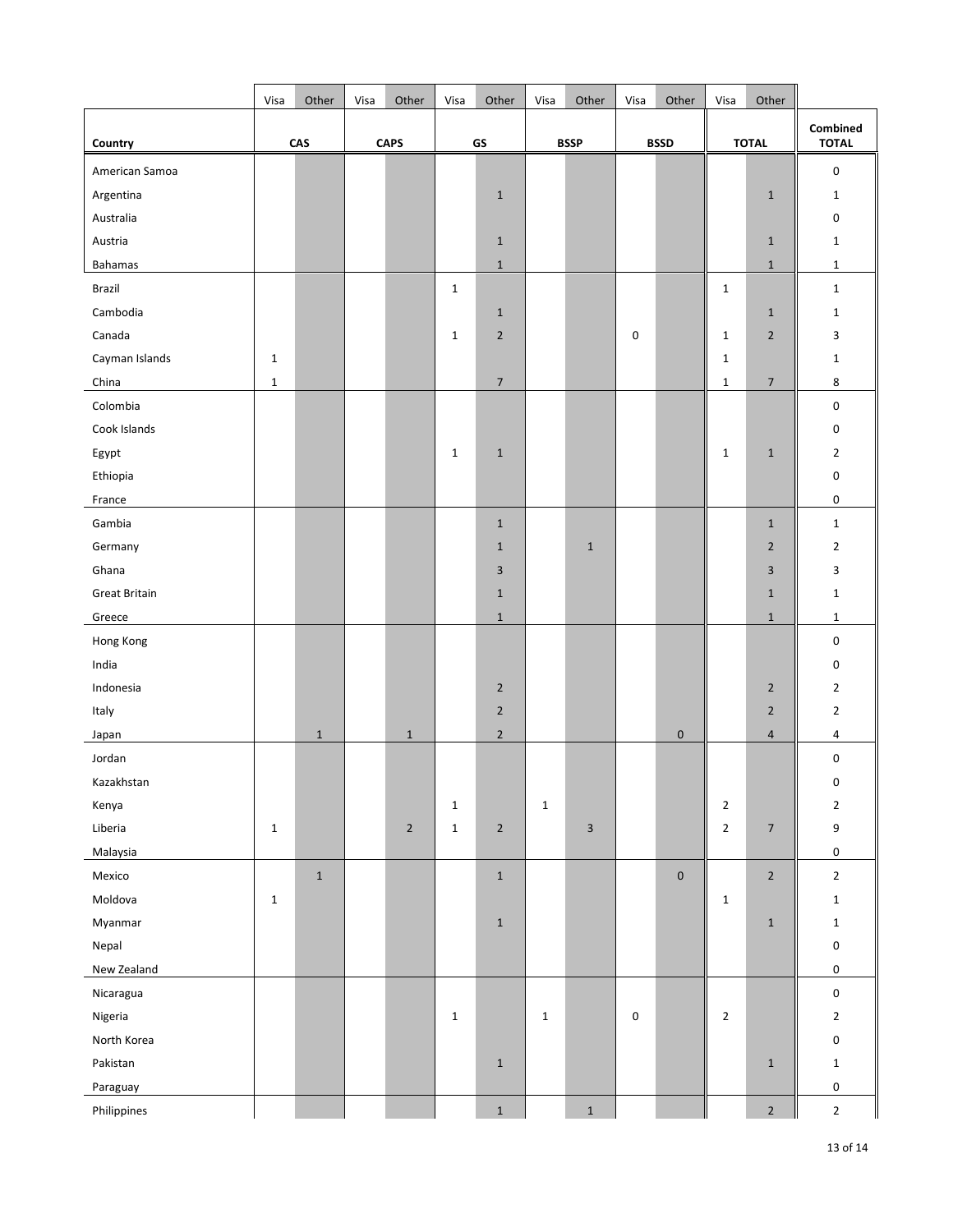|                      | Visa         | Other       | Visa | Other          | Visa         | Other          | Visa        | Other                     | Visa      | Other       | Visa         | Other                    |                          |
|----------------------|--------------|-------------|------|----------------|--------------|----------------|-------------|---------------------------|-----------|-------------|--------------|--------------------------|--------------------------|
| Country              |              | CAS         |      | <b>CAPS</b>    |              | GS             |             | <b>BSSP</b>               |           | <b>BSSD</b> |              | <b>TOTAL</b>             | Combined<br><b>TOTAL</b> |
| American Samoa       |              |             |      |                |              |                |             |                           |           |             |              |                          | $\pmb{0}$                |
| Argentina            |              |             |      |                |              | $\mathbf{1}$   |             |                           |           |             |              | $1\,$                    | $\mathbf{1}$             |
| Australia            |              |             |      |                |              |                |             |                           |           |             |              |                          | 0                        |
| Austria              |              |             |      |                |              | $\mathbf{1}$   |             |                           |           |             |              | $\mathbf{1}$             | $\mathbf{1}$             |
| Bahamas              |              |             |      |                |              | $\mathbf 1$    |             |                           |           |             |              | $1\,$                    | $\mathbf{1}$             |
| Brazil               |              |             |      |                | $\mathbf{1}$ |                |             |                           |           |             | $\mathbf 1$  |                          | $\mathbf 1$              |
| Cambodia             |              |             |      |                |              | $\mathbf 1$    |             |                           |           |             |              | $\mathbf 1$              | $\mathbf{1}$             |
| Canada               |              |             |      |                | $\mathbf 1$  | $\overline{2}$ |             |                           | 0         |             | $\mathbf 1$  | $\overline{2}$           | 3                        |
| Cayman Islands       | $\mathbf 1$  |             |      |                |              |                |             |                           |           |             | $\mathbf 1$  |                          | $\mathbf{1}$             |
| China                | $\mathbf 1$  |             |      |                |              | $\overline{7}$ |             |                           |           |             | $\mathbf 1$  | $\overline{7}$           | 8                        |
| Colombia             |              |             |      |                |              |                |             |                           |           |             |              |                          | $\pmb{0}$                |
| Cook Islands         |              |             |      |                |              |                |             |                           |           |             |              |                          | 0                        |
| Egypt                |              |             |      |                | $\mathbf{1}$ | $\mathbf 1$    |             |                           |           |             | $\mathbf 1$  | $\mathbf 1$              | $\overline{2}$           |
| Ethiopia             |              |             |      |                |              |                |             |                           |           |             |              |                          | $\pmb{0}$                |
| France               |              |             |      |                |              |                |             |                           |           |             |              |                          | $\pmb{0}$                |
| Gambia               |              |             |      |                |              | $\mathbf{1}$   |             |                           |           |             |              | $1\,$                    | $\mathbf{1}$             |
| Germany              |              |             |      |                |              | $\mathbf{1}$   |             | $\mathbf 1$               |           |             |              | $\overline{2}$           | $\overline{2}$           |
| Ghana                |              |             |      |                |              | $\overline{3}$ |             |                           |           |             |              | $\overline{3}$           | 3                        |
| <b>Great Britain</b> |              |             |      |                |              | $1\,$          |             |                           |           |             |              | $1\,$                    | $\mathbf{1}$             |
| Greece               |              |             |      |                |              | $\mathbf 1$    |             |                           |           |             |              | $1\,$                    | $\mathbf{1}$             |
| Hong Kong            |              |             |      |                |              |                |             |                           |           |             |              |                          | $\mathbf 0$              |
| India                |              |             |      |                |              |                |             |                           |           |             |              |                          | $\pmb{0}$                |
| Indonesia            |              |             |      |                |              | $\mathbf 2$    |             |                           |           |             |              | $\mathbf 2$              | $\overline{2}$           |
| Italy                |              |             |      |                |              | $\overline{2}$ |             |                           |           |             |              | $\overline{2}$           | $\overline{2}$           |
| Japan                |              | $\mathbf 1$ |      | $\mathbf 1$    |              | $\overline{2}$ |             |                           |           | $\pmb{0}$   |              | $\overline{4}$           | 4                        |
| Jordan               |              |             |      |                |              |                |             |                           |           |             |              |                          | $\pmb{0}$                |
| Kazakhstan           |              |             |      |                |              |                |             |                           |           |             |              |                          | 0                        |
| Kenya                |              |             |      |                | $\mathbf{1}$ |                | $\mathbf 1$ |                           |           |             | $\mathbf{2}$ |                          | $\mathbf 2$              |
| Liberia              | $\mathbf{1}$ |             |      | $\overline{2}$ | $\mathbf 1$  | $\mathbf 2$    |             | $\ensuremath{\mathsf{3}}$ |           |             | $\mathbf{2}$ | $\overline{\mathcal{I}}$ | $\boldsymbol{9}$         |
| Malaysia             |              |             |      |                |              |                |             |                           |           |             |              |                          | $\mathbf 0$              |
| Mexico               |              | $\mathbf 1$ |      |                |              | $\mathbf 1$    |             |                           |           | $\pmb{0}$   |              | $\overline{2}$           | $\overline{2}$           |
| Moldova              | $\mathbf 1$  |             |      |                |              |                |             |                           |           |             | $\mathbf 1$  |                          | $\mathbf{1}$             |
| Myanmar              |              |             |      |                |              | $\mathbf 1$    |             |                           |           |             |              | $\mathbf 1$              | $\mathbf{1}$             |
| Nepal                |              |             |      |                |              |                |             |                           |           |             |              |                          | $\pmb{0}$                |
| New Zealand          |              |             |      |                |              |                |             |                           |           |             |              |                          | $\mathbf 0$              |
| Nicaragua            |              |             |      |                |              |                |             |                           |           |             |              |                          | $\pmb{0}$                |
| Nigeria              |              |             |      |                | $\mathbf{1}$ |                | $\mathbf 1$ |                           | $\pmb{0}$ |             | $\mathbf 2$  |                          | $\overline{2}$           |
| North Korea          |              |             |      |                |              |                |             |                           |           |             |              |                          | $\mathsf 0$              |
| Pakistan             |              |             |      |                |              | $\mathbf 1$    |             |                           |           |             |              | $\mathbf 1$              | $\mathbf 1$              |
| Paraguay             |              |             |      |                |              |                |             |                           |           |             |              |                          | $\pmb{0}$                |
| Philippines          |              |             |      |                |              | $\mathbf 1$    |             | $\mathbf 1$               |           |             |              | $\overline{2}$           | $\overline{2}$           |